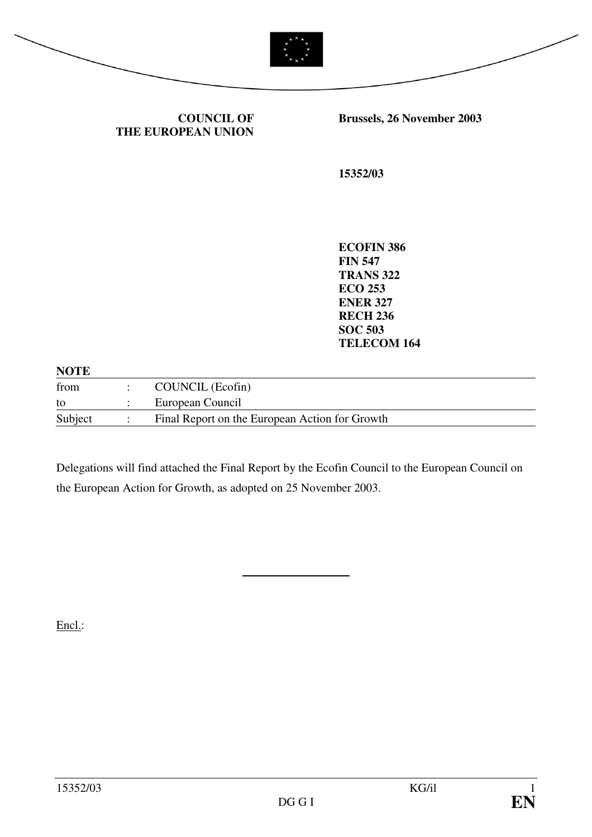

| <b>COUNCIL OF</b>  |  |
|--------------------|--|
| THE EUROPEAN UNION |  |

**Brussels, 26 November 2003** 

**15352/03** 

**ECOFIN 386 FIN 547 TRANS 322 ECO 253 ENER 327 RECH 236 SOC 503 TELECOM 164** 

| <b>NOTE</b> |                                                |
|-------------|------------------------------------------------|
| from        | COUNCIL (Ecofin)                               |
| to          | European Council                               |
| Subject     | Final Report on the European Action for Growth |

Delegations will find attached the Final Report by the Ecofin Council to the European Council on the European Action for Growth, as adopted on 25 November 2003.

 $\overline{a}$ 

Encl.: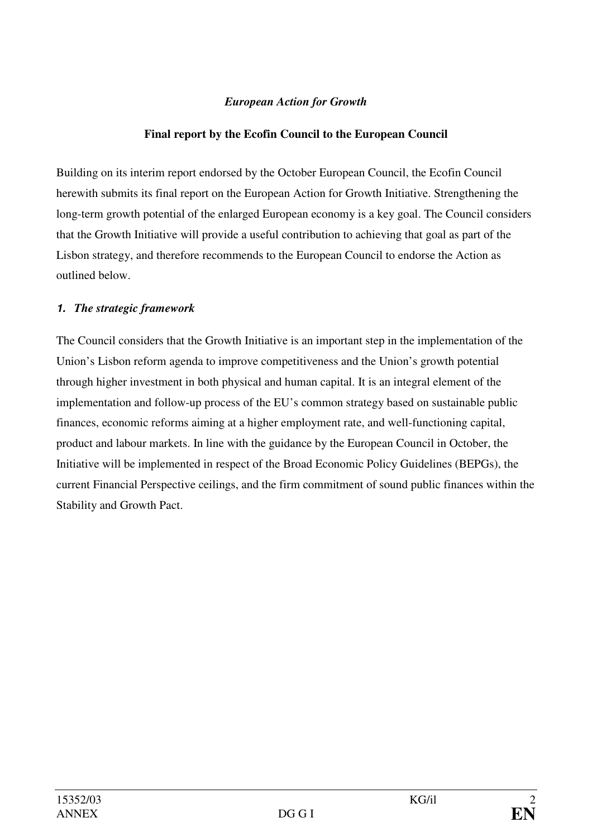## *European Action for Growth*

## **Final report by the Ecofin Council to the European Council**

Building on its interim report endorsed by the October European Council, the Ecofin Council herewith submits its final report on the European Action for Growth Initiative. Strengthening the long-term growth potential of the enlarged European economy is a key goal. The Council considers that the Growth Initiative will provide a useful contribution to achieving that goal as part of the Lisbon strategy, and therefore recommends to the European Council to endorse the Action as outlined below.

## **1.** *The strategic framework*

The Council considers that the Growth Initiative is an important step in the implementation of the Union's Lisbon reform agenda to improve competitiveness and the Union's growth potential through higher investment in both physical and human capital. It is an integral element of the implementation and follow-up process of the EU's common strategy based on sustainable public finances, economic reforms aiming at a higher employment rate, and well-functioning capital, product and labour markets. In line with the guidance by the European Council in October, the Initiative will be implemented in respect of the Broad Economic Policy Guidelines (BEPGs), the current Financial Perspective ceilings, and the firm commitment of sound public finances within the Stability and Growth Pact.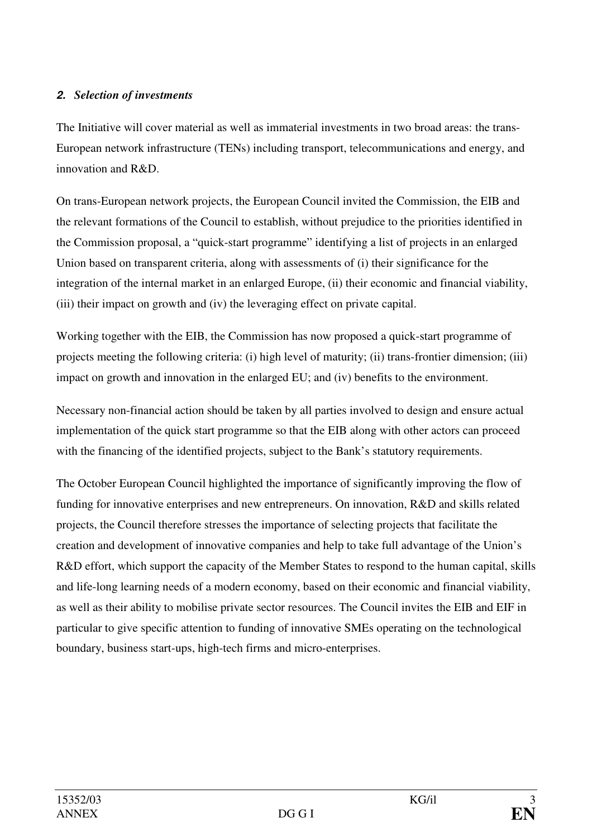## **2.** *Selection of investments*

The Initiative will cover material as well as immaterial investments in two broad areas: the trans-European network infrastructure (TENs) including transport, telecommunications and energy, and innovation and R&D.

On trans-European network projects, the European Council invited the Commission, the EIB and the relevant formations of the Council to establish, without prejudice to the priorities identified in the Commission proposal, a "quick-start programme" identifying a list of projects in an enlarged Union based on transparent criteria, along with assessments of (i) their significance for the integration of the internal market in an enlarged Europe, (ii) their economic and financial viability, (iii) their impact on growth and (iv) the leveraging effect on private capital.

Working together with the EIB, the Commission has now proposed a quick-start programme of projects meeting the following criteria: (i) high level of maturity; (ii) trans-frontier dimension; (iii) impact on growth and innovation in the enlarged EU; and (iv) benefits to the environment.

Necessary non-financial action should be taken by all parties involved to design and ensure actual implementation of the quick start programme so that the EIB along with other actors can proceed with the financing of the identified projects, subject to the Bank's statutory requirements.

The October European Council highlighted the importance of significantly improving the flow of funding for innovative enterprises and new entrepreneurs. On innovation, R&D and skills related projects, the Council therefore stresses the importance of selecting projects that facilitate the creation and development of innovative companies and help to take full advantage of the Union's R&D effort, which support the capacity of the Member States to respond to the human capital, skills and life-long learning needs of a modern economy, based on their economic and financial viability, as well as their ability to mobilise private sector resources. The Council invites the EIB and EIF in particular to give specific attention to funding of innovative SMEs operating on the technological boundary, business start-ups, high-tech firms and micro-enterprises.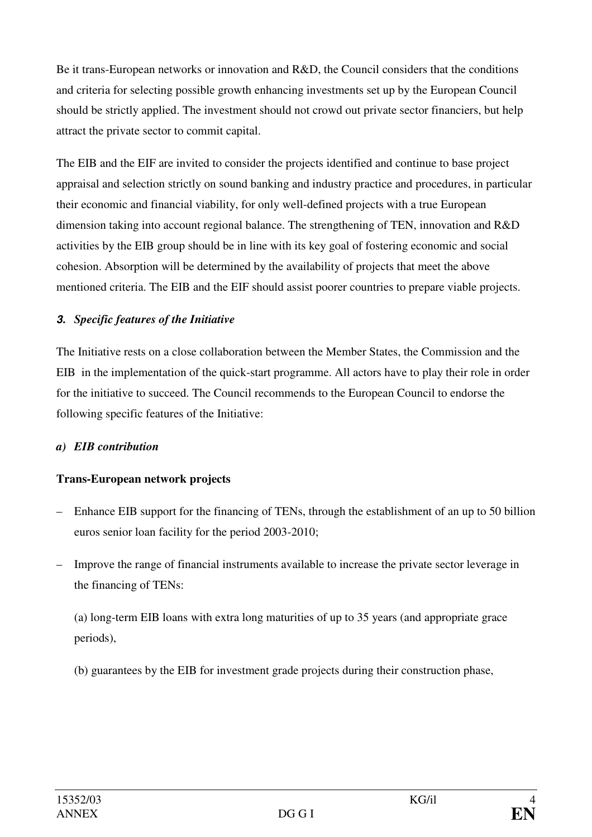Be it trans-European networks or innovation and R&D, the Council considers that the conditions and criteria for selecting possible growth enhancing investments set up by the European Council should be strictly applied. The investment should not crowd out private sector financiers, but help attract the private sector to commit capital.

The EIB and the EIF are invited to consider the projects identified and continue to base project appraisal and selection strictly on sound banking and industry practice and procedures, in particular their economic and financial viability, for only well-defined projects with a true European dimension taking into account regional balance. The strengthening of TEN, innovation and R&D activities by the EIB group should be in line with its key goal of fostering economic and social cohesion. Absorption will be determined by the availability of projects that meet the above mentioned criteria. The EIB and the EIF should assist poorer countries to prepare viable projects.

## **3.** *Specific features of the Initiative*

The Initiative rests on a close collaboration between the Member States, the Commission and the EIB in the implementation of the quick-start programme. All actors have to play their role in order for the initiative to succeed. The Council recommends to the European Council to endorse the following specific features of the Initiative:

## *a) EIB contribution*

# **Trans-European network projects**

- Enhance EIB support for the financing of TENs, through the establishment of an up to 50 billion euros senior loan facility for the period 2003-2010;
- Improve the range of financial instruments available to increase the private sector leverage in the financing of TENs:

(a) long-term EIB loans with extra long maturities of up to 35 years (and appropriate grace periods),

(b) guarantees by the EIB for investment grade projects during their construction phase,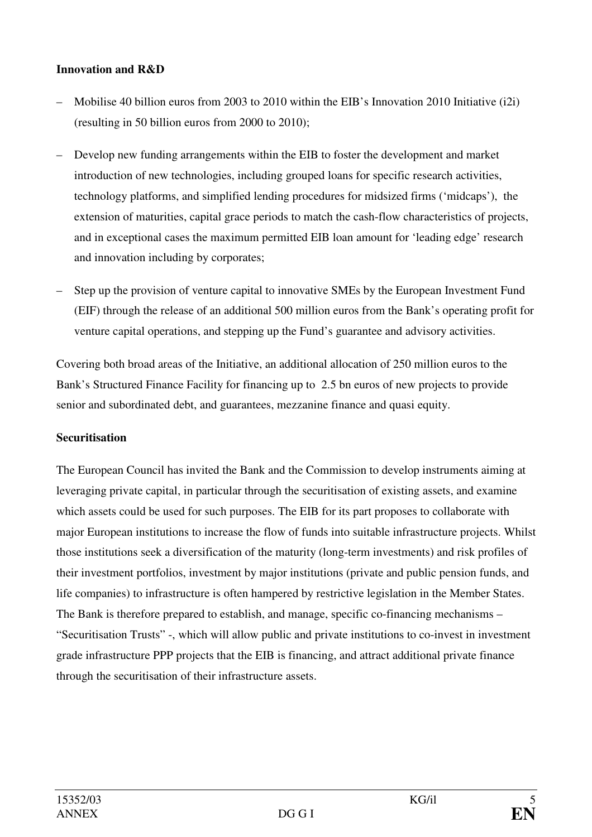## **Innovation and R&D**

- Mobilise 40 billion euros from 2003 to 2010 within the EIB's Innovation 2010 Initiative (i2i) (resulting in 50 billion euros from 2000 to 2010);
- Develop new funding arrangements within the EIB to foster the development and market introduction of new technologies, including grouped loans for specific research activities, technology platforms, and simplified lending procedures for midsized firms ('midcaps'), the extension of maturities, capital grace periods to match the cash-flow characteristics of projects, and in exceptional cases the maximum permitted EIB loan amount for 'leading edge' research and innovation including by corporates;
- Step up the provision of venture capital to innovative SMEs by the European Investment Fund (EIF) through the release of an additional 500 million euros from the Bank's operating profit for venture capital operations, and stepping up the Fund's guarantee and advisory activities.

Covering both broad areas of the Initiative, an additional allocation of 250 million euros to the Bank's Structured Finance Facility for financing up to 2.5 bn euros of new projects to provide senior and subordinated debt, and guarantees, mezzanine finance and quasi equity.

#### **Securitisation**

The European Council has invited the Bank and the Commission to develop instruments aiming at leveraging private capital, in particular through the securitisation of existing assets, and examine which assets could be used for such purposes. The EIB for its part proposes to collaborate with major European institutions to increase the flow of funds into suitable infrastructure projects. Whilst those institutions seek a diversification of the maturity (long-term investments) and risk profiles of their investment portfolios, investment by major institutions (private and public pension funds, and life companies) to infrastructure is often hampered by restrictive legislation in the Member States. The Bank is therefore prepared to establish, and manage, specific co-financing mechanisms – "Securitisation Trusts" -, which will allow public and private institutions to co-invest in investment grade infrastructure PPP projects that the EIB is financing, and attract additional private finance through the securitisation of their infrastructure assets.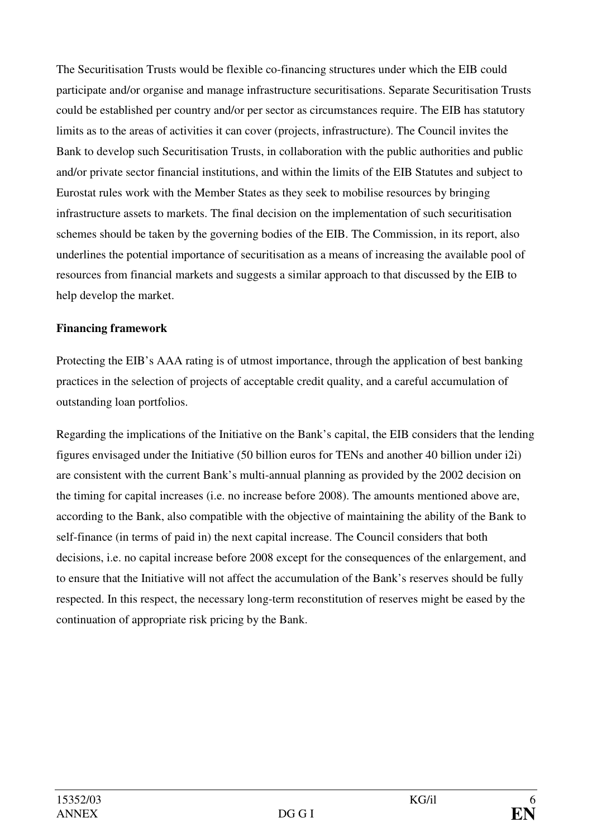The Securitisation Trusts would be flexible co-financing structures under which the EIB could participate and/or organise and manage infrastructure securitisations. Separate Securitisation Trusts could be established per country and/or per sector as circumstances require. The EIB has statutory limits as to the areas of activities it can cover (projects, infrastructure). The Council invites the Bank to develop such Securitisation Trusts, in collaboration with the public authorities and public and/or private sector financial institutions, and within the limits of the EIB Statutes and subject to Eurostat rules work with the Member States as they seek to mobilise resources by bringing infrastructure assets to markets. The final decision on the implementation of such securitisation schemes should be taken by the governing bodies of the EIB. The Commission, in its report, also underlines the potential importance of securitisation as a means of increasing the available pool of resources from financial markets and suggests a similar approach to that discussed by the EIB to help develop the market.

#### **Financing framework**

Protecting the EIB's AAA rating is of utmost importance, through the application of best banking practices in the selection of projects of acceptable credit quality, and a careful accumulation of outstanding loan portfolios.

Regarding the implications of the Initiative on the Bank's capital, the EIB considers that the lending figures envisaged under the Initiative (50 billion euros for TENs and another 40 billion under i2i) are consistent with the current Bank's multi-annual planning as provided by the 2002 decision on the timing for capital increases (i.e. no increase before 2008). The amounts mentioned above are, according to the Bank, also compatible with the objective of maintaining the ability of the Bank to self-finance (in terms of paid in) the next capital increase. The Council considers that both decisions, i.e. no capital increase before 2008 except for the consequences of the enlargement, and to ensure that the Initiative will not affect the accumulation of the Bank's reserves should be fully respected. In this respect, the necessary long-term reconstitution of reserves might be eased by the continuation of appropriate risk pricing by the Bank.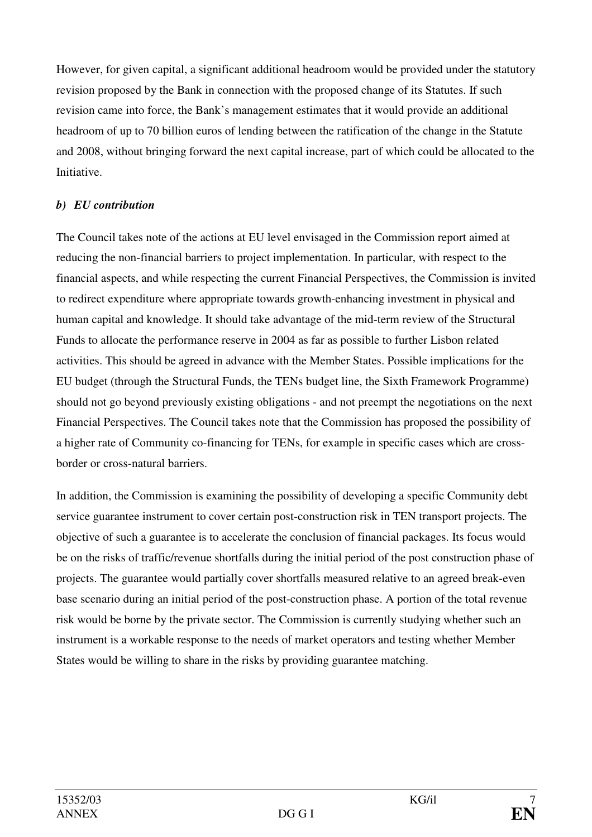However, for given capital, a significant additional headroom would be provided under the statutory revision proposed by the Bank in connection with the proposed change of its Statutes. If such revision came into force, the Bank's management estimates that it would provide an additional headroom of up to 70 billion euros of lending between the ratification of the change in the Statute and 2008, without bringing forward the next capital increase, part of which could be allocated to the Initiative.

### *b) EU contribution*

The Council takes note of the actions at EU level envisaged in the Commission report aimed at reducing the non-financial barriers to project implementation. In particular, with respect to the financial aspects, and while respecting the current Financial Perspectives, the Commission is invited to redirect expenditure where appropriate towards growth-enhancing investment in physical and human capital and knowledge. It should take advantage of the mid-term review of the Structural Funds to allocate the performance reserve in 2004 as far as possible to further Lisbon related activities. This should be agreed in advance with the Member States. Possible implications for the EU budget (through the Structural Funds, the TENs budget line, the Sixth Framework Programme) should not go beyond previously existing obligations - and not preempt the negotiations on the next Financial Perspectives. The Council takes note that the Commission has proposed the possibility of a higher rate of Community co-financing for TENs, for example in specific cases which are crossborder or cross-natural barriers.

In addition, the Commission is examining the possibility of developing a specific Community debt service guarantee instrument to cover certain post-construction risk in TEN transport projects. The objective of such a guarantee is to accelerate the conclusion of financial packages. Its focus would be on the risks of traffic/revenue shortfalls during the initial period of the post construction phase of projects. The guarantee would partially cover shortfalls measured relative to an agreed break-even base scenario during an initial period of the post-construction phase. A portion of the total revenue risk would be borne by the private sector. The Commission is currently studying whether such an instrument is a workable response to the needs of market operators and testing whether Member States would be willing to share in the risks by providing guarantee matching.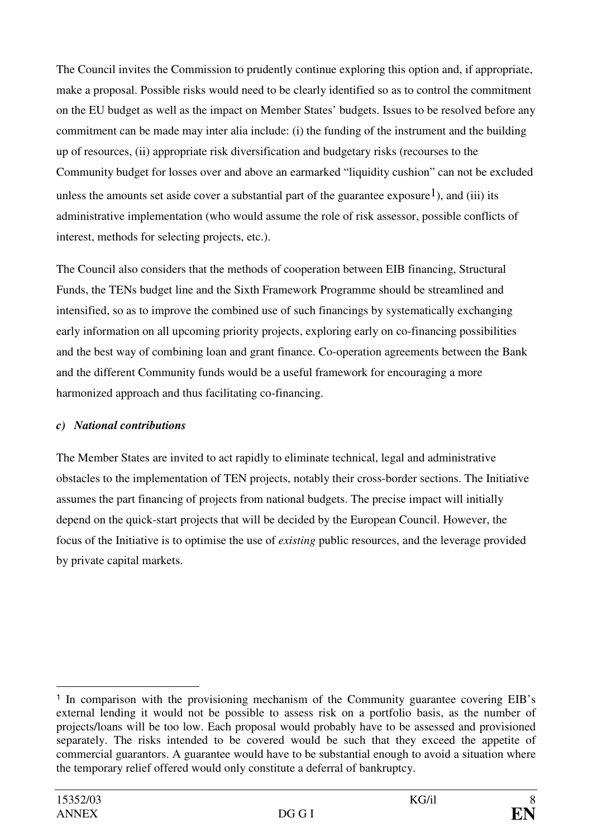The Council invites the Commission to prudently continue exploring this option and, if appropriate, make a proposal. Possible risks would need to be clearly identified so as to control the commitment on the EU budget as well as the impact on Member States' budgets. Issues to be resolved before any commitment can be made may inter alia include: (i) the funding of the instrument and the building up of resources, (ii) appropriate risk diversification and budgetary risks (recourses to the Community budget for losses over and above an earmarked "liquidity cushion" can not be excluded unless the amounts set aside cover a substantial part of the guarantee exposure<sup>1</sup>), and (iii) its administrative implementation (who would assume the role of risk assessor, possible conflicts of interest, methods for selecting projects, etc.).

The Council also considers that the methods of cooperation between EIB financing, Structural Funds, the TENs budget line and the Sixth Framework Programme should be streamlined and intensified, so as to improve the combined use of such financings by systematically exchanging early information on all upcoming priority projects, exploring early on co-financing possibilities and the best way of combining loan and grant finance. Co-operation agreements between the Bank and the different Community funds would be a useful framework for encouraging a more harmonized approach and thus facilitating co-financing.

## *c) National contributions*

The Member States are invited to act rapidly to eliminate technical, legal and administrative obstacles to the implementation of TEN projects, notably their cross-border sections. The Initiative assumes the part financing of projects from national budgets. The precise impact will initially depend on the quick-start projects that will be decided by the European Council. However, the focus of the Initiative is to optimise the use of *existing* public resources, and the leverage provided by private capital markets.

 $\overline{a}$ <sup>1</sup> In comparison with the provisioning mechanism of the Community guarantee covering EIB's external lending it would not be possible to assess risk on a portfolio basis, as the number of projects/loans will be too low. Each proposal would probably have to be assessed and provisioned separately. The risks intended to be covered would be such that they exceed the appetite of commercial guarantors. A guarantee would have to be substantial enough to avoid a situation where the temporary relief offered would only constitute a deferral of bankruptcy.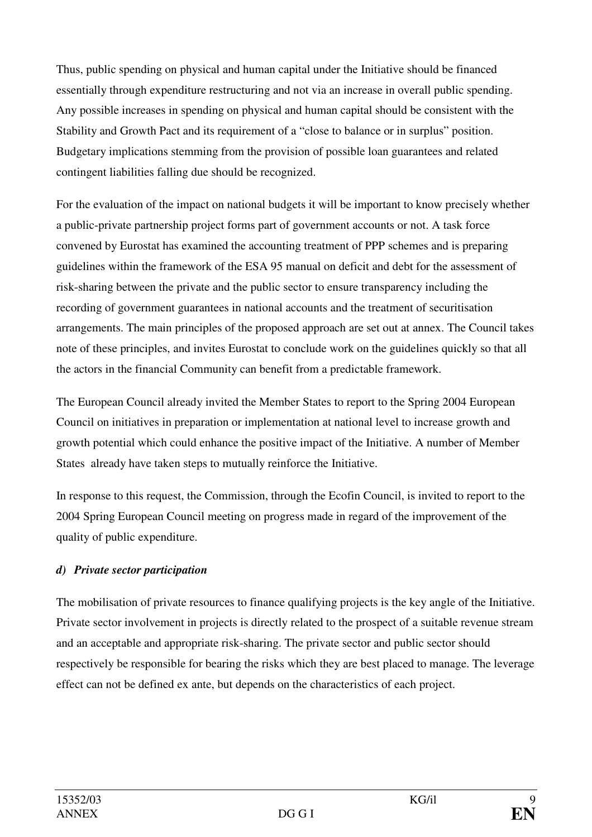Thus, public spending on physical and human capital under the Initiative should be financed essentially through expenditure restructuring and not via an increase in overall public spending. Any possible increases in spending on physical and human capital should be consistent with the Stability and Growth Pact and its requirement of a "close to balance or in surplus" position. Budgetary implications stemming from the provision of possible loan guarantees and related contingent liabilities falling due should be recognized.

For the evaluation of the impact on national budgets it will be important to know precisely whether a public-private partnership project forms part of government accounts or not. A task force convened by Eurostat has examined the accounting treatment of PPP schemes and is preparing guidelines within the framework of the ESA 95 manual on deficit and debt for the assessment of risk-sharing between the private and the public sector to ensure transparency including the recording of government guarantees in national accounts and the treatment of securitisation arrangements. The main principles of the proposed approach are set out at annex. The Council takes note of these principles, and invites Eurostat to conclude work on the guidelines quickly so that all the actors in the financial Community can benefit from a predictable framework.

The European Council already invited the Member States to report to the Spring 2004 European Council on initiatives in preparation or implementation at national level to increase growth and growth potential which could enhance the positive impact of the Initiative. A number of Member States already have taken steps to mutually reinforce the Initiative.

In response to this request, the Commission, through the Ecofin Council, is invited to report to the 2004 Spring European Council meeting on progress made in regard of the improvement of the quality of public expenditure.

# *d) Private sector participation*

The mobilisation of private resources to finance qualifying projects is the key angle of the Initiative. Private sector involvement in projects is directly related to the prospect of a suitable revenue stream and an acceptable and appropriate risk-sharing. The private sector and public sector should respectively be responsible for bearing the risks which they are best placed to manage. The leverage effect can not be defined ex ante, but depends on the characteristics of each project.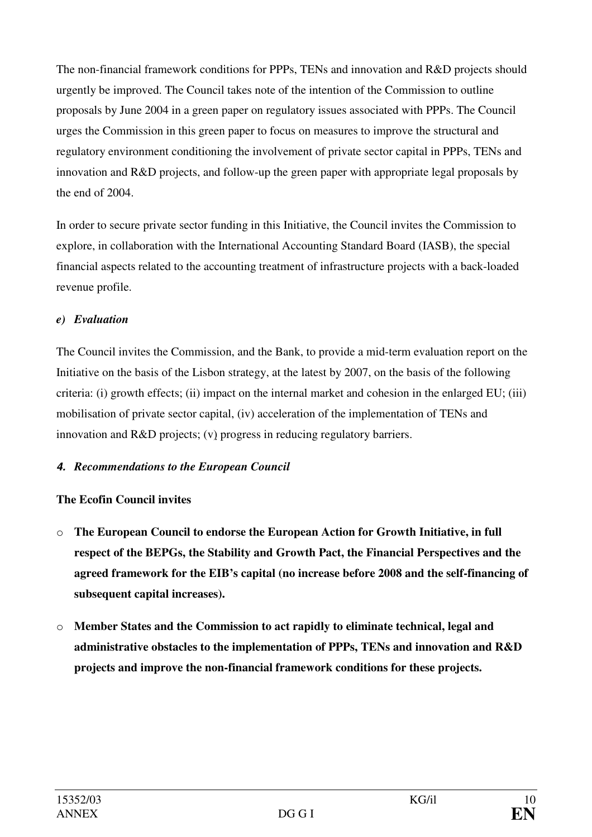The non-financial framework conditions for PPPs, TENs and innovation and R&D projects should urgently be improved. The Council takes note of the intention of the Commission to outline proposals by June 2004 in a green paper on regulatory issues associated with PPPs. The Council urges the Commission in this green paper to focus on measures to improve the structural and regulatory environment conditioning the involvement of private sector capital in PPPs, TENs and innovation and R&D projects, and follow-up the green paper with appropriate legal proposals by the end of 2004.

In order to secure private sector funding in this Initiative, the Council invites the Commission to explore, in collaboration with the International Accounting Standard Board (IASB), the special financial aspects related to the accounting treatment of infrastructure projects with a back-loaded revenue profile.

## *e) Evaluation*

The Council invites the Commission, and the Bank, to provide a mid-term evaluation report on the Initiative on the basis of the Lisbon strategy, at the latest by 2007, on the basis of the following criteria: (i) growth effects; (ii) impact on the internal market and cohesion in the enlarged EU; (iii) mobilisation of private sector capital, (iv) acceleration of the implementation of TENs and innovation and R&D projects; (v) progress in reducing regulatory barriers.

# **4.** *Recommendations to the European Council*

# **The Ecofin Council invites**

- o **The European Council to endorse the European Action for Growth Initiative, in full respect of the BEPGs, the Stability and Growth Pact, the Financial Perspectives and the agreed framework for the EIB's capital (no increase before 2008 and the self-financing of subsequent capital increases).**
- o **Member States and the Commission to act rapidly to eliminate technical, legal and administrative obstacles to the implementation of PPPs, TENs and innovation and R&D projects and improve the non-financial framework conditions for these projects.**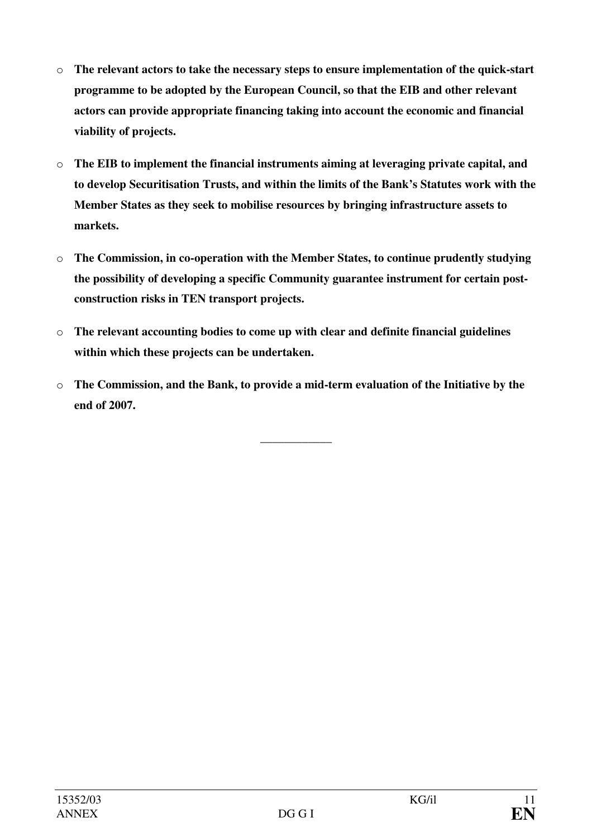- o **The relevant actors to take the necessary steps to ensure implementation of the quick-start programme to be adopted by the European Council, so that the EIB and other relevant actors can provide appropriate financing taking into account the economic and financial viability of projects.**
- o **The EIB to implement the financial instruments aiming at leveraging private capital, and to develop Securitisation Trusts, and within the limits of the Bank's Statutes work with the Member States as they seek to mobilise resources by bringing infrastructure assets to markets.**
- o **The Commission, in co-operation with the Member States, to continue prudently studying the possibility of developing a specific Community guarantee instrument for certain postconstruction risks in TEN transport projects.**
- o **The relevant accounting bodies to come up with clear and definite financial guidelines within which these projects can be undertaken.**
- o **The Commission, and the Bank, to provide a mid-term evaluation of the Initiative by the end of 2007.**

\_\_\_\_\_\_\_\_\_\_\_\_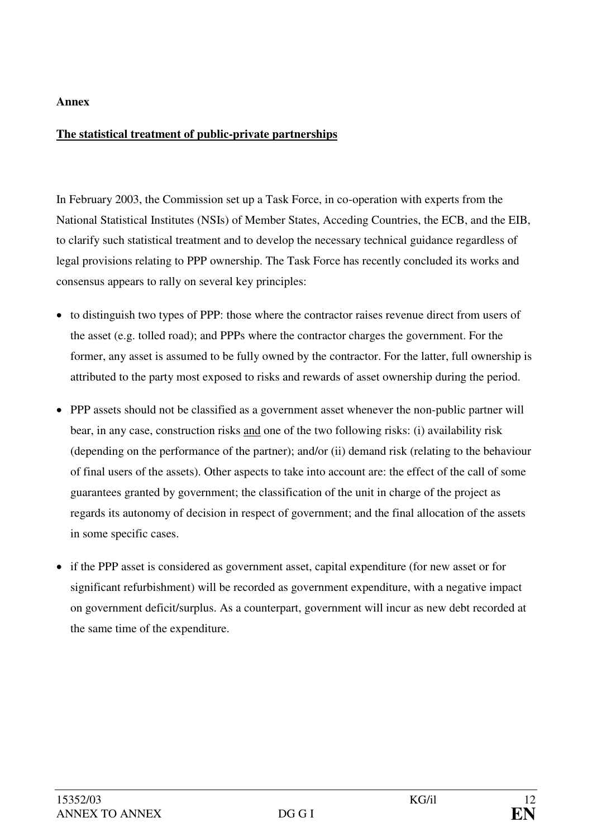#### **Annex**

## **The statistical treatment of public-private partnerships**

In February 2003, the Commission set up a Task Force, in co-operation with experts from the National Statistical Institutes (NSIs) of Member States, Acceding Countries, the ECB, and the EIB, to clarify such statistical treatment and to develop the necessary technical guidance regardless of legal provisions relating to PPP ownership. The Task Force has recently concluded its works and consensus appears to rally on several key principles:

- to distinguish two types of PPP: those where the contractor raises revenue direct from users of the asset (e.g. tolled road); and PPPs where the contractor charges the government. For the former, any asset is assumed to be fully owned by the contractor. For the latter, full ownership is attributed to the party most exposed to risks and rewards of asset ownership during the period.
- PPP assets should not be classified as a government asset whenever the non-public partner will bear, in any case, construction risks and one of the two following risks: (i) availability risk (depending on the performance of the partner); and/or (ii) demand risk (relating to the behaviour of final users of the assets). Other aspects to take into account are: the effect of the call of some guarantees granted by government; the classification of the unit in charge of the project as regards its autonomy of decision in respect of government; and the final allocation of the assets in some specific cases.
- if the PPP asset is considered as government asset, capital expenditure (for new asset or for significant refurbishment) will be recorded as government expenditure, with a negative impact on government deficit/surplus. As a counterpart, government will incur as new debt recorded at the same time of the expenditure.